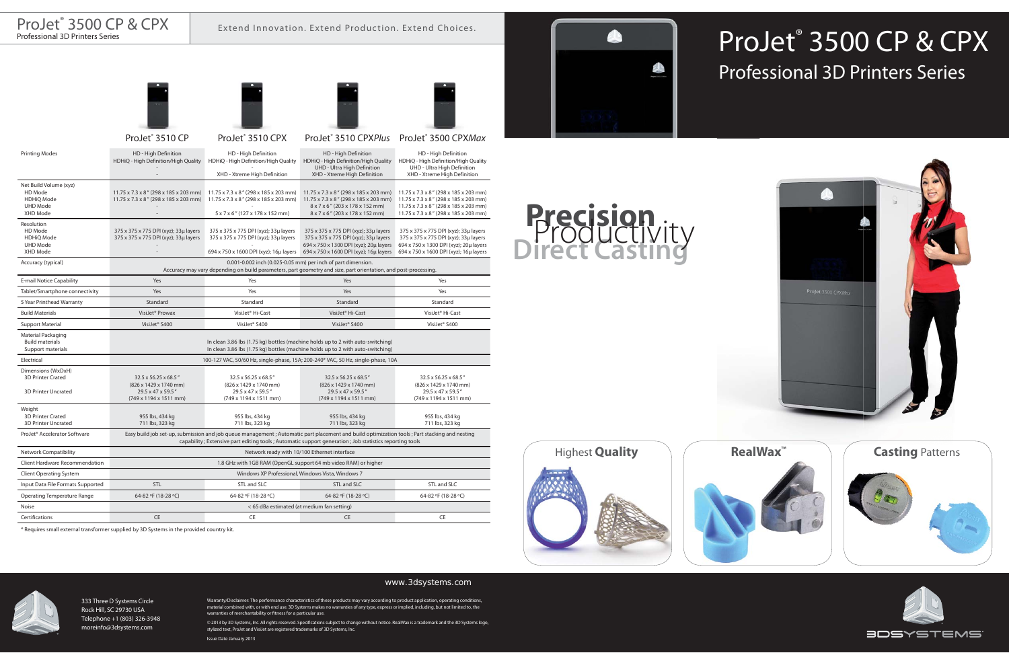

## ProJet® 3500 CP & CPX Professional 3D Printers Series

# **Precision Direct Casting** Productivity





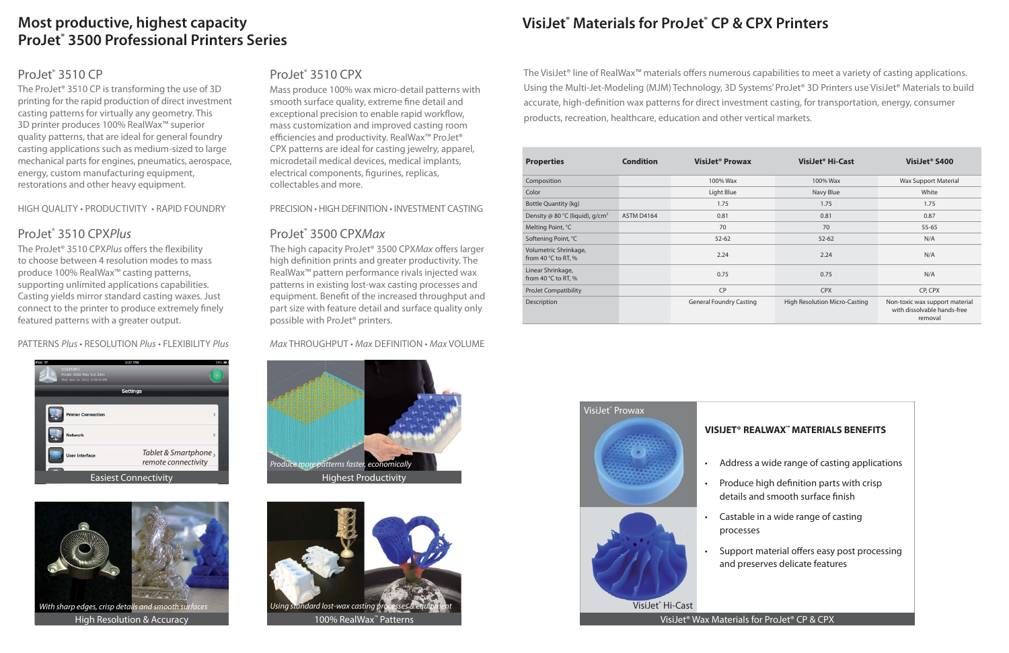### **Most productive, highest capacity ProJet® 3500 Professional Printers Series**

#### ProJet<sup>®</sup> 3510 CP

The ProJet® 3510 CP is transforming the use of 3D printing for the rapid production of direct investment casting patterns for virtually any geometry. This 3D printer produces 100% RealWax™ superior quality patterns, that are ideal for general foundry casting applications such as medium-sized to large mechanical parts for engines, pneumatics, aerospace, energy, custom manufacturing equipment, restorations and other heavy equipment.

HIGH QUALITY • PRODUCTIVITY • RAPID FOUNDRY

#### ProJet<sup>®</sup> 3510 CPXPlus

The ProJet<sup>®</sup> 3510 CPXPlus offers the flexibility to choose between 4 resolution modes to mass produce 100% RealWax™ casting patterns, supporting unlimited applications capabilities. Casting yields mirror standard casting waxes. Just connect to the printer to produce extremely finely featured patterns with a greater output.

PATTERNS Plus • RESOLUTION Plus • FLEXIBILITY Plus



![](_page_1_Picture_8.jpeg)

High Resolution & Accuracy

#### ProJet® 3510 CPX

Mass produce 100% wax micro-detail patterns with smooth surface quality, extreme fine detail and exceptional precision to enable rapid workflow, mass customization and improved casting room efficiencies and productivity. RealWax<sup>™</sup> ProJet<sup>®</sup> CPX patterns are ideal for casting jewelry, apparel, microdetail medical devices, medical implants, electrical components, figurines, replicas, collectables and more.

PRECISION • HIGH DEFINITION • INVESTMENT CASTING

#### ProJet<sup>®</sup> 3500 CPXMax

The high capacity ProJet<sup>®</sup> 3500 CPXMax offers larger high definition prints and greater productivity. The RealWax™ pattern performance rivals injected wax patterns in existing lost-wax casting processes and equipment. Benefit of the increased throughput and part size with feature detail and surface quality only possible with ProJet® printers.

Max THROUGHPUT • Max DEFINITION • Max VOLUME

![](_page_1_Picture_16.jpeg)

![](_page_1_Picture_17.jpeg)

100% RealWax™ Patterns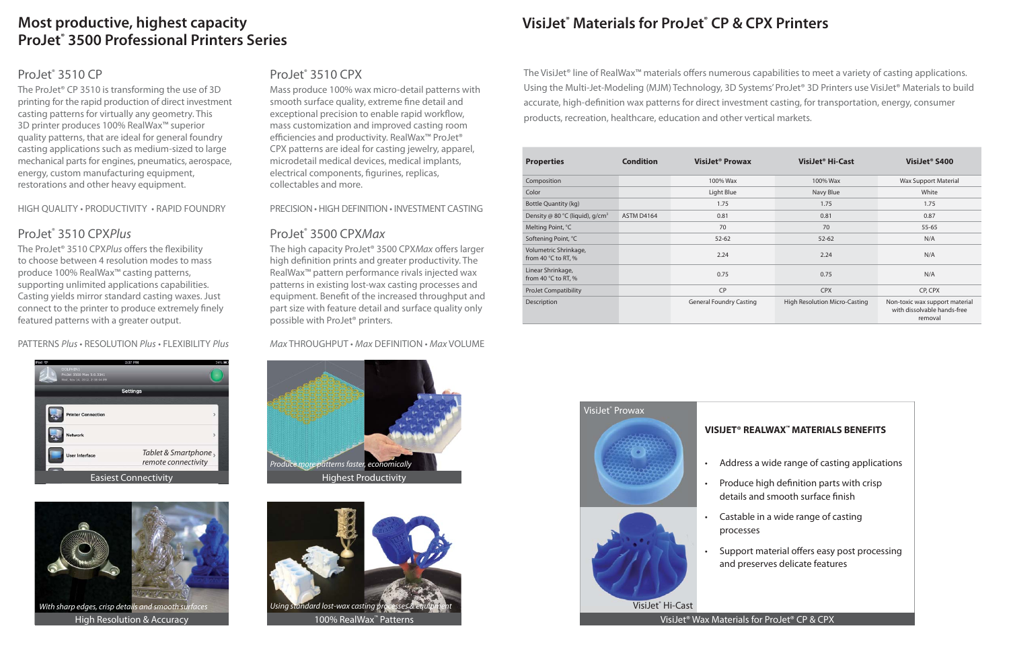## **VisiJet® Materials for ProJet® CP & CPX Printers**

The VisiJet® line of RealWax<sup>™</sup> materials offers numerous capabilities to meet a variety of casting applications. Using the Multi-Jet-Modeling (MJM) Technology, 3D Systems' ProJet® 3D Printers use VisiJet® Materials to build accurate, high-definition wax patterns for direct investment casting, for transportation, energy, consumer products, recreation, healthcare, education and other vertical markets.

| <b>Properties</b>                                     | <b>Condition</b> | VisiJet <sup>®</sup> Prowax    | VisiJet <sup>®</sup> Hi-Cast  | VisiJet <sup>®</sup> S400                                                |
|-------------------------------------------------------|------------------|--------------------------------|-------------------------------|--------------------------------------------------------------------------|
| Composition                                           |                  | 100% Wax                       | 100% Wax                      | <b>Wax Support Material</b>                                              |
| Color                                                 |                  | Light Blue                     | Navy Blue                     | White                                                                    |
| <b>Bottle Quantity (kg)</b>                           |                  | 1.75                           | 1.75                          | 1.75                                                                     |
| Density @ 80 °C (liquid), g/cm <sup>3</sup>           | ASTM D4164       | 0.81                           | 0.81                          | 0.87                                                                     |
| Melting Point, °C                                     |                  | 70                             | 70                            | $55 - 65$                                                                |
| Softening Point, °C                                   |                  | $52 - 62$                      | $52 - 62$                     | N/A                                                                      |
| Volumetric Shrinkage,<br>from 40 $\degree$ C to RT, % |                  | 2.24                           | 2.24                          | N/A                                                                      |
| Linear Shrinkage,<br>from 40 $\degree$ C to RT, %     |                  | 0.75                           | 0.75                          | N/A                                                                      |
| <b>ProJet Compatibility</b>                           |                  | CP                             | <b>CPX</b>                    | CP, CPX                                                                  |
| Description                                           |                  | <b>General Foundry Casting</b> | High Resolution Micro-Casting | Non-toxic wax support material<br>with dissolvable hands-free<br>removal |

![](_page_2_Picture_3.jpeg)